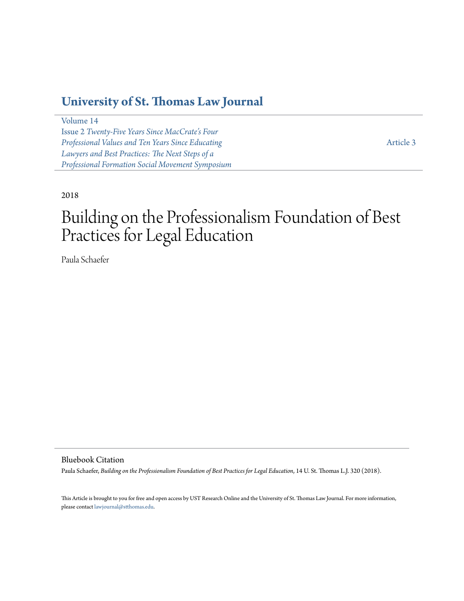### **[University of St. Thomas Law Journal](https://ir.stthomas.edu/ustlj)**

[Volume 14](https://ir.stthomas.edu/ustlj/vol14) Issue 2 *[Twenty-Five Years Since MacCrate's Four](https://ir.stthomas.edu/ustlj/vol14/iss2) [Professional Values and Ten Years Since Educating](https://ir.stthomas.edu/ustlj/vol14/iss2) [Lawyers and Best Practices: The Next Steps of a](https://ir.stthomas.edu/ustlj/vol14/iss2) [Professional Formation Social Movement Symposium](https://ir.stthomas.edu/ustlj/vol14/iss2)*

[Article 3](https://ir.stthomas.edu/ustlj/vol14/iss2/3)

#### 2018

# Building on the Professionalism Foundation of Best Practices for Legal Education

Paula Schaefer

Bluebook Citation

Paula Schaefer, *Building on the Professionalism Foundation of Best Practices for Legal Education*, 14 U. St. Thomas L.J. 320 (2018).

This Article is brought to you for free and open access by UST Research Online and the University of St. Thomas Law Journal. For more information, please contact [lawjournal@stthomas.edu.](mailto:lawjournal@stthomas.edu)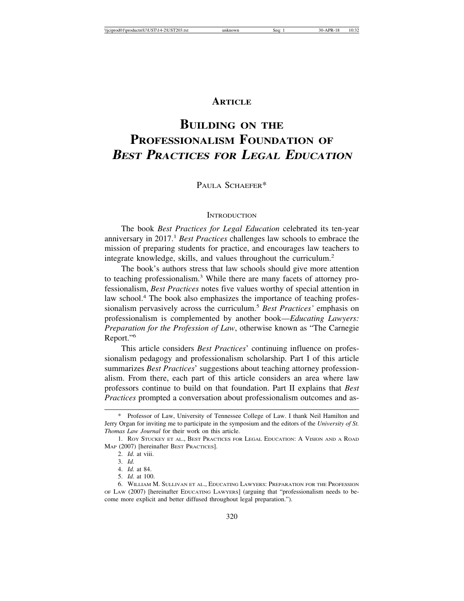#### **ARTICLE**

## **BUILDING ON THE PROFESSIONALISM FOUNDATION OF BEST PRACTICES FOR LEGAL EDUCATION**

PAULA SCHAEFER\*

#### **INTRODUCTION**

The book *Best Practices for Legal Education* celebrated its ten-year anniversary in 2017.<sup>1</sup> *Best Practices* challenges law schools to embrace the mission of preparing students for practice, and encourages law teachers to integrate knowledge, skills, and values throughout the curriculum.2

The book's authors stress that law schools should give more attention to teaching professionalism.<sup>3</sup> While there are many facets of attorney professionalism, *Best Practices* notes five values worthy of special attention in law school.<sup>4</sup> The book also emphasizes the importance of teaching professionalism pervasively across the curriculum.<sup>5</sup> *Best Practices'* emphasis on professionalism is complemented by another book—*Educating Lawyers: Preparation for the Profession of Law*, otherwise known as "The Carnegie Report."6

This article considers *Best Practices*' continuing influence on professionalism pedagogy and professionalism scholarship. Part I of this article summarizes *Best Practices*' suggestions about teaching attorney professionalism. From there, each part of this article considers an area where law professors continue to build on that foundation. Part II explains that *Best Practices* prompted a conversation about professionalism outcomes and as-

- 4. *Id.* at 84.
- 5. *Id.* at 100.

<sup>\*</sup> Professor of Law, University of Tennessee College of Law. I thank Neil Hamilton and Jerry Organ for inviting me to participate in the symposium and the editors of the *University of St. Thomas Law Journal* for their work on this article.

<sup>1.</sup> ROY STUCKEY ET AL., BEST PRACTICES FOR LEGAL EDUCATION: A VISION AND A ROAD MAP (2007) [hereinafter BEST PRACTICES].

<sup>2.</sup> *Id.* at viii.

<sup>3.</sup> *Id.*

<sup>6.</sup> WILLIAM M. SULLIVAN ET AL., EDUCATING LAWYERS: PREPARATION FOR THE PROFESSION OF LAW (2007) [hereinafter EDUCATING LAWYERS] (arguing that "professionalism needs to become more explicit and better diffused throughout legal preparation.").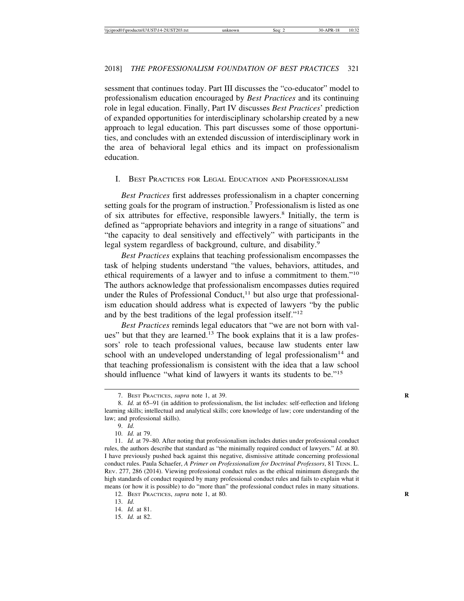sessment that continues today. Part III discusses the "co-educator" model to professionalism education encouraged by *Best Practices* and its continuing role in legal education. Finally, Part IV discusses *Best Practices*' prediction of expanded opportunities for interdisciplinary scholarship created by a new approach to legal education. This part discusses some of those opportunities, and concludes with an extended discussion of interdisciplinary work in the area of behavioral legal ethics and its impact on professionalism education.

#### I. BEST PRACTICES FOR LEGAL EDUCATION AND PROFESSIONALISM

*Best Practices* first addresses professionalism in a chapter concerning setting goals for the program of instruction.<sup>7</sup> Professionalism is listed as one of six attributes for effective, responsible lawyers.<sup>8</sup> Initially, the term is defined as "appropriate behaviors and integrity in a range of situations" and "the capacity to deal sensitively and effectively" with participants in the legal system regardless of background, culture, and disability.<sup>9</sup>

*Best Practices* explains that teaching professionalism encompasses the task of helping students understand "the values, behaviors, attitudes, and ethical requirements of a lawyer and to infuse a commitment to them."10 The authors acknowledge that professionalism encompasses duties required under the Rules of Professional Conduct, $11$  but also urge that professionalism education should address what is expected of lawyers "by the public and by the best traditions of the legal profession itself."<sup>12</sup>

*Best Practices* reminds legal educators that "we are not born with values" but that they are learned.13 The book explains that it is a law professors' role to teach professional values, because law students enter law school with an undeveloped understanding of legal professionalism<sup>14</sup> and that teaching professionalism is consistent with the idea that a law school should influence "what kind of lawyers it wants its students to be."15

<sup>7.</sup> BEST PRACTICES, *supra* note 1, at 39. **R**

<sup>8.</sup> *Id.* at 65–91 (in addition to professionalism, the list includes: self-reflection and lifelong learning skills; intellectual and analytical skills; core knowledge of law; core understanding of the law; and professional skills).

<sup>9.</sup> *Id.*

<sup>10.</sup> *Id.* at 79.

<sup>11.</sup> *Id.* at 79–80. After noting that professionalism includes duties under professional conduct rules, the authors describe that standard as "the minimally required conduct of lawyers." *Id.* at 80. I have previously pushed back against this negative, dismissive attitude concerning professional conduct rules. Paula Schaefer, *A Primer on Professionalism for Doctrinal Professors*, 81 TENN. L. REV. 277, 286 (2014). Viewing professional conduct rules as the ethical minimum disregards the high standards of conduct required by many professional conduct rules and fails to explain what it means (or how it is possible) to do "more than" the professional conduct rules in many situations.

<sup>12.</sup> BEST PRACTICES, *supra* note 1, at 80.

<sup>13.</sup> *Id.*

<sup>14.</sup> *Id.* at 81.

<sup>15.</sup> *Id.* at 82.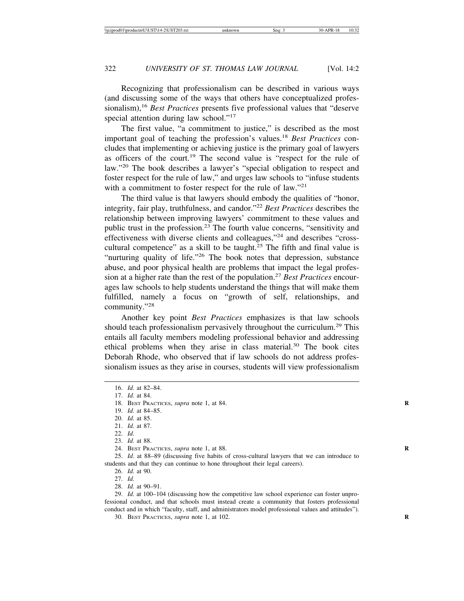Recognizing that professionalism can be described in various ways (and discussing some of the ways that others have conceptualized professionalism),16 *Best Practices* presents five professional values that "deserve special attention during law school."<sup>17</sup>

The first value, "a commitment to justice," is described as the most important goal of teaching the profession's values.<sup>18</sup> *Best Practices* concludes that implementing or achieving justice is the primary goal of lawyers as officers of the court.19 The second value is "respect for the rule of law."20 The book describes a lawyer's "special obligation to respect and foster respect for the rule of law," and urges law schools to "infuse students with a commitment to foster respect for the rule of law."<sup>21</sup>

The third value is that lawyers should embody the qualities of "honor, integrity, fair play, truthfulness, and candor."22 *Best Practices* describes the relationship between improving lawyers' commitment to these values and public trust in the profession.23 The fourth value concerns, "sensitivity and effectiveness with diverse clients and colleagues,"24 and describes "crosscultural competence" as a skill to be taught.<sup>25</sup> The fifth and final value is "nurturing quality of life."26 The book notes that depression, substance abuse, and poor physical health are problems that impact the legal profession at a higher rate than the rest of the population.<sup>27</sup> *Best Practices* encourages law schools to help students understand the things that will make them fulfilled, namely a focus on "growth of self, relationships, and community."28

Another key point *Best Practices* emphasizes is that law schools should teach professionalism pervasively throughout the curriculum.<sup>29</sup> This entails all faculty members modeling professional behavior and addressing ethical problems when they arise in class material.30 The book cites Deborah Rhode, who observed that if law schools do not address professionalism issues as they arise in courses, students will view professionalism

24. BEST PRACTICES, *supra* note 1, at 88. **R**

25. *Id*. at 88–89 (discussing five habits of cross-cultural lawyers that we can introduce to students and that they can continue to hone throughout their legal careers).

26. *Id.* at 90.

27. *Id.*

28. *Id.* at 90–91.

29. *Id.* at 100–104 (discussing how the competitive law school experience can foster unprofessional conduct, and that schools must instead create a community that fosters professional conduct and in which "faculty, staff, and administrators model professional values and attitudes").

30. BEST PRACTICES, *supra* note 1, at 102. **R**

<sup>16.</sup> *Id.* at 82–84.

<sup>17.</sup> *Id.* at 84.

<sup>18.</sup> BEST PRACTICES, *supra* note 1, at 84. **R**

<sup>19.</sup> *Id.* at 84–85.

<sup>20.</sup> *Id.* at 85.

<sup>21.</sup> *Id.* at 87.

<sup>22.</sup> *Id.*

<sup>23.</sup> *Id.* at 88.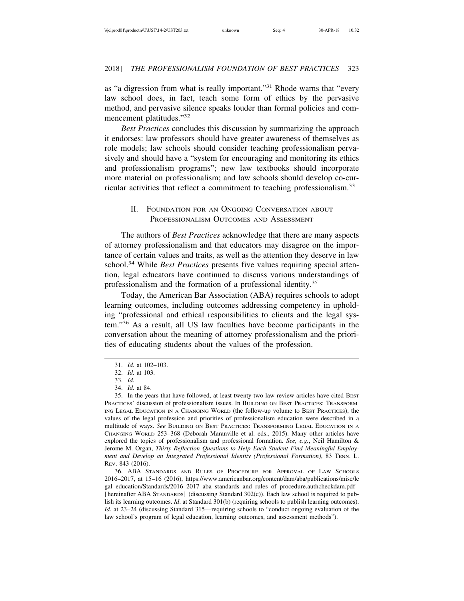as "a digression from what is really important."31 Rhode warns that "every law school does, in fact, teach some form of ethics by the pervasive method, and pervasive silence speaks louder than formal policies and commencement platitudes."<sup>32</sup>

*Best Practices* concludes this discussion by summarizing the approach it endorses: law professors should have greater awareness of themselves as role models; law schools should consider teaching professionalism pervasively and should have a "system for encouraging and monitoring its ethics and professionalism programs"; new law textbooks should incorporate more material on professionalism; and law schools should develop co-curricular activities that reflect a commitment to teaching professionalism.33

#### II. FOUNDATION FOR AN ONGOING CONVERSATION ABOUT PROFESSIONALISM OUTCOMES AND ASSESSMENT

The authors of *Best Practices* acknowledge that there are many aspects of attorney professionalism and that educators may disagree on the importance of certain values and traits, as well as the attention they deserve in law school.<sup>34</sup> While *Best Practices* presents five values requiring special attention, legal educators have continued to discuss various understandings of professionalism and the formation of a professional identity.<sup>35</sup>

Today, the American Bar Association (ABA) requires schools to adopt learning outcomes, including outcomes addressing competency in upholding "professional and ethical responsibilities to clients and the legal system."36 As a result, all US law faculties have become participants in the conversation about the meaning of attorney professionalism and the priorities of educating students about the values of the profession.

34. *Id.* at 84.

35. In the years that have followed, at least twenty-two law review articles have cited BEST PRACTICES' discussion of professionalism issues. In BUILDING ON BEST PRACTICES: TRANSFORM-ING LEGAL EDUCATION IN A CHANGING WORLD (the follow-up volume to BEST PRACTICES), the values of the legal profession and priorities of professionalism education were described in a multitude of ways. *See* BUILDING ON BEST PRACTICES: TRANSFORMING LEGAL EDUCATION IN A CHANGING WORLD 253–368 (Deborah Maranville et al. eds., 2015). Many other articles have explored the topics of professionalism and professional formation. *See, e.g.*, Neil Hamilton & Jerome M. Organ, *Thirty Reflection Questions to Help Each Student Find Meaningful Employment and Develop an Integrated Professional Identity (Professional Formation)*, 83 TENN. L. REV. 843 (2016).

36. ABA STANDARDS AND RULES OF PROCEDURE FOR APPROVAL OF LAW SCHOOLS 2016–2017, at 15–16 (2016), https://www.americanbar.org/content/dam/aba/publications/misc/le gal\_education/Standards/2016\_2017\_aba\_standards\_and\_rules\_of\_procedure.authcheckdam.pdf [hereinafter ABA STANDARDS] (discussing Standard 302(c)). Each law school is required to publish its learning outcomes. *Id*. at Standard 301(b) (requiring schools to publish learning outcomes). *Id*. at 23–24 (discussing Standard 315—requiring schools to "conduct ongoing evaluation of the law school's program of legal education, learning outcomes, and assessment methods").

<sup>31.</sup> *Id.* at 102–103.

<sup>32.</sup> *Id.* at 103.

<sup>33.</sup> *Id.*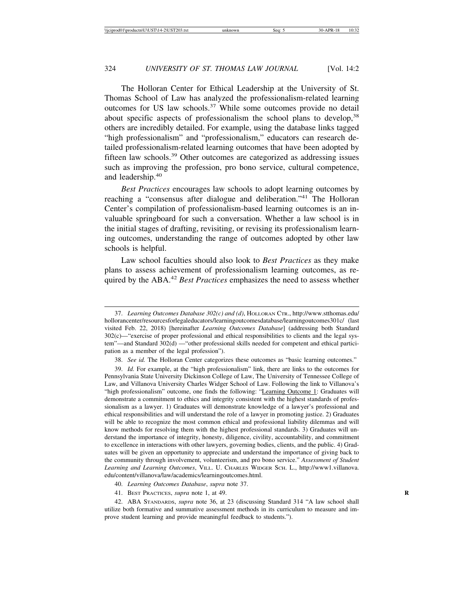The Holloran Center for Ethical Leadership at the University of St. Thomas School of Law has analyzed the professionalism-related learning outcomes for US law schools.<sup>37</sup> While some outcomes provide no detail about specific aspects of professionalism the school plans to develop,<sup>38</sup> others are incredibly detailed. For example, using the database links tagged "high professionalism" and "professionalism," educators can research detailed professionalism-related learning outcomes that have been adopted by fifteen law schools.39 Other outcomes are categorized as addressing issues such as improving the profession, pro bono service, cultural competence, and leadership.<sup>40</sup>

*Best Practices* encourages law schools to adopt learning outcomes by reaching a "consensus after dialogue and deliberation."41 The Holloran Center's compilation of professionalism-based learning outcomes is an invaluable springboard for such a conversation. Whether a law school is in the initial stages of drafting, revisiting, or revising its professionalism learning outcomes, understanding the range of outcomes adopted by other law schools is helpful.

Law school faculties should also look to *Best Practices* as they make plans to assess achievement of professionalism learning outcomes, as required by the ABA.<sup>42</sup> *Best Practices* emphasizes the need to assess whether

38. *See id.* The Holloran Center categorizes these outcomes as "basic learning outcomes."

39. *Id.* For example, at the "high professionalism" link, there are links to the outcomes for Pennsylvania State University Dickinson College of Law, The University of Tennessee College of Law, and Villanova University Charles Widger School of Law. Following the link to Villanova's "high professionalism" outcome, one finds the following: "Learning Outcome 1: Graduates will demonstrate a commitment to ethics and integrity consistent with the highest standards of professionalism as a lawyer. 1) Graduates will demonstrate knowledge of a lawyer's professional and ethical responsibilities and will understand the role of a lawyer in promoting justice. 2) Graduates will be able to recognize the most common ethical and professional liability dilemmas and will know methods for resolving them with the highest professional standards. 3) Graduates will understand the importance of integrity, honesty, diligence, civility, accountability, and commitment to excellence in interactions with other lawyers, governing bodies, clients, and the public. 4) Graduates will be given an opportunity to appreciate and understand the importance of giving back to the community through involvement, volunteerism, and pro bono service." *Assessment of Student Learning and Learning Outcomes*, VILL. U. CHARLES WIDGER SCH. L., http://www1.villanova. edu/content/villanova/law/academics/learningoutcomes.html.

40. *Learning Outcomes Database*, *supra* note 37.

41. BEST PRACTICES, *supra* note 1, at 49. **R**

42. ABA STANDARDS, *supra* note 36, at 23 (discussing Standard 314 "A law school shall utilize both formative and summative assessment methods in its curriculum to measure and improve student learning and provide meaningful feedback to students.").

<sup>37.</sup> *Learning Outcomes Database 302(c) and (d)*, HOLLORAN CTR., http://www.stthomas.edu/ hollorancenter/resourcesforlegaleducators/learningoutcomesdatabase/learningoutcomes301c/ (last visited Feb. 22, 2018) [hereinafter *Learning Outcomes Database*] (addressing both Standard 302(c)—"exercise of proper professional and ethical responsibilities to clients and the legal system"—and Standard 302(d) —"other professional skills needed for competent and ethical participation as a member of the legal profession").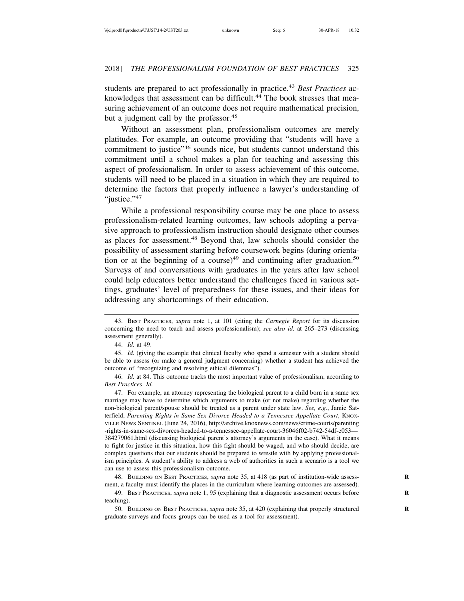students are prepared to act professionally in practice.<sup>43</sup> *Best Practices* acknowledges that assessment can be difficult.<sup>44</sup> The book stresses that measuring achievement of an outcome does not require mathematical precision, but a judgment call by the professor.<sup>45</sup>

Without an assessment plan, professionalism outcomes are merely platitudes. For example, an outcome providing that "students will have a commitment to justice"46 sounds nice, but students cannot understand this commitment until a school makes a plan for teaching and assessing this aspect of professionalism. In order to assess achievement of this outcome, students will need to be placed in a situation in which they are required to determine the factors that properly influence a lawyer's understanding of "justice."<sup>47</sup>

While a professional responsibility course may be one place to assess professionalism-related learning outcomes, law schools adopting a pervasive approach to professionalism instruction should designate other courses as places for assessment.48 Beyond that, law schools should consider the possibility of assessment starting before coursework begins (during orientation or at the beginning of a course)<sup>49</sup> and continuing after graduation.<sup>50</sup> Surveys of and conversations with graduates in the years after law school could help educators better understand the challenges faced in various settings, graduates' level of preparedness for these issues, and their ideas for addressing any shortcomings of their education.

44. *Id.* at 49.

45. *Id.* (giving the example that clinical faculty who spend a semester with a student should be able to assess (or make a general judgment concerning) whether a student has achieved the outcome of "recognizing and resolving ethical dilemmas").

46. *Id.* at 84. This outcome tracks the most important value of professionalism, according to *Best Practices*. *Id.*

47. For example, an attorney representing the biological parent to a child born in a same sex marriage may have to determine which arguments to make (or not make) regarding whether the non-biological parent/spouse should be treated as a parent under state law. *See, e.g.*, Jamie Satterfield, Parenting Rights in Same-Sex Divorce Headed to a Tennessee Appellate Court, KNOX-VILLE NEWS SENTINEL (June 24, 2016), http://archive.knoxnews.com/news/crime-courts/parenting -rights-in-same-sex-divorces-headed-to-a-tennessee-appellate-court-36046f02-b742-54df-e053— 384279061.html (discussing biological parent's attorney's arguments in the case). What it means to fight for justice in this situation, how this fight should be waged, and who should decide, are complex questions that our students should be prepared to wrestle with by applying professionalism principles. A student's ability to address a web of authorities in such a scenario is a tool we can use to assess this professionalism outcome.

48. BUILDING ON BEST PRACTICES, *supra* note 35, at 418 (as part of institution-wide assessment, a faculty must identify the places in the curriculum where learning outcomes are assessed).

49. BEST PRACTICES, *supra* note 1, 95 (explaining that a diagnostic assessment occurs before **R** teaching).

50. BUILDING ON BEST PRACTICES, *supra* note 35, at 420 (explaining that properly structured **R** graduate surveys and focus groups can be used as a tool for assessment).

<sup>43.</sup> BEST PRACTICES, *supra* note 1, at 101 (citing the *Carnegie Report* for its discussion concerning the need to teach and assess professionalism); *see also id.* at 265–273 (discussing assessment generally).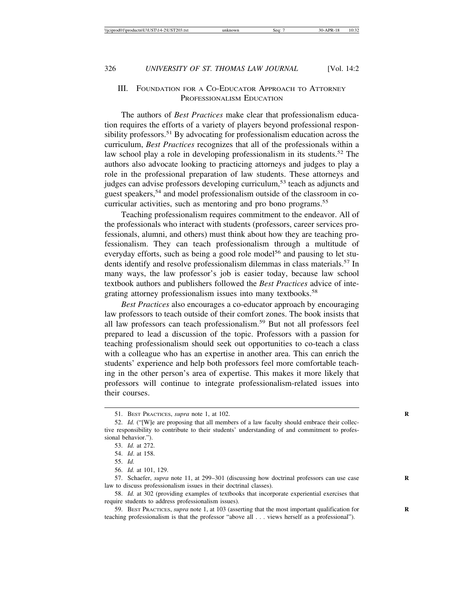#### III. FOUNDATION FOR A CO-EDUCATOR APPROACH TO ATTORNEY PROFESSIONALISM EDUCATION

The authors of *Best Practices* make clear that professionalism education requires the efforts of a variety of players beyond professional responsibility professors.<sup>51</sup> By advocating for professionalism education across the curriculum, *Best Practices* recognizes that all of the professionals within a law school play a role in developing professionalism in its students.<sup>52</sup> The authors also advocate looking to practicing attorneys and judges to play a role in the professional preparation of law students. These attorneys and judges can advise professors developing curriculum,<sup>53</sup> teach as adjuncts and guest speakers,54 and model professionalism outside of the classroom in cocurricular activities, such as mentoring and pro bono programs.<sup>55</sup>

Teaching professionalism requires commitment to the endeavor. All of the professionals who interact with students (professors, career services professionals, alumni, and others) must think about how they are teaching professionalism. They can teach professionalism through a multitude of everyday efforts, such as being a good role model<sup>56</sup> and pausing to let students identify and resolve professionalism dilemmas in class materials.<sup>57</sup> In many ways, the law professor's job is easier today, because law school textbook authors and publishers followed the *Best Practices* advice of integrating attorney professionalism issues into many textbooks.<sup>58</sup>

*Best Practices* also encourages a co-educator approach by encouraging law professors to teach outside of their comfort zones. The book insists that all law professors can teach professionalism.59 But not all professors feel prepared to lead a discussion of the topic. Professors with a passion for teaching professionalism should seek out opportunities to co-teach a class with a colleague who has an expertise in another area. This can enrich the students' experience and help both professors feel more comfortable teaching in the other person's area of expertise. This makes it more likely that professors will continue to integrate professionalism-related issues into their courses.

56. *Id.* at 101, 129.

<sup>51.</sup> BEST PRACTICES, *supra* note 1, at 102. **R**

<sup>52.</sup> *Id.* ("[W]e are proposing that all members of a law faculty should embrace their collective responsibility to contribute to their students' understanding of and commitment to professional behavior.").

<sup>53.</sup> *Id.* at 272.

<sup>54.</sup> *Id*. at 158.

<sup>55.</sup> *Id.*

<sup>57.</sup> Schaefer, *supra* note 11, at 299–301 (discussing how doctrinal professors can use case law to discuss professionalism issues in their doctrinal classes).

<sup>58.</sup> *Id.* at 302 (providing examples of textbooks that incorporate experiential exercises that require students to address professionalism issues).

<sup>59.</sup> BEST PRACTICES, *supra* note 1, at 103 (asserting that the most important qualification for **R** teaching professionalism is that the professor "above all . . . views herself as a professional").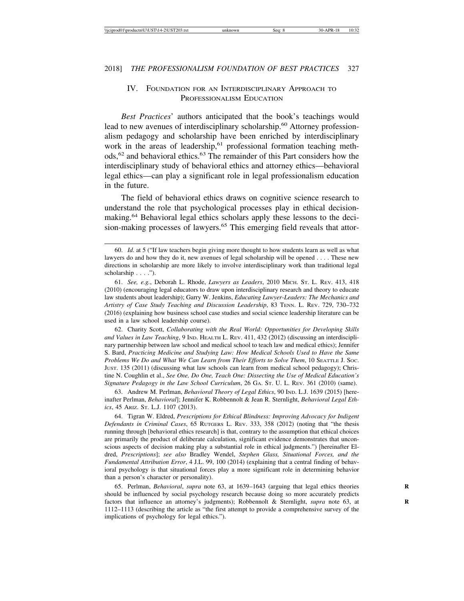#### IV. FOUNDATION FOR AN INTERDISCIPLINARY APPROACH TO PROFESSIONALISM EDUCATION

*Best Practices*' authors anticipated that the book's teachings would lead to new avenues of interdisciplinary scholarship.<sup>60</sup> Attorney professionalism pedagogy and scholarship have been enriched by interdisciplinary work in the areas of leadership,<sup>61</sup> professional formation teaching methods,<sup>62</sup> and behavioral ethics.<sup>63</sup> The remainder of this Part considers how the interdisciplinary study of behavioral ethics and attorney ethics—behavioral legal ethics—can play a significant role in legal professionalism education in the future.

The field of behavioral ethics draws on cognitive science research to understand the role that psychological processes play in ethical decisionmaking.64 Behavioral legal ethics scholars apply these lessons to the decision-making processes of lawyers.<sup>65</sup> This emerging field reveals that attor-

62. Charity Scott, *Collaborating with the Real World: Opportunities for Developing Skills and Values in Law Teaching*, 9 IND. HEALTH L. REV. 411, 432 (2012) (discussing an interdisciplinary partnership between law school and medical school to teach law and medical ethics); Jennifer S. Bard, *Practicing Medicine and Studying Law: How Medical Schools Used to Have the Same Problems We Do and What We Can Learn from Their Efforts to Solve Them*, 10 SEATTLE J. SOC. JUST. 135 (2011) (discussing what law schools can learn from medical school pedagogy); Christine N. Coughlin et al., *See One, Do One, Teach One: Dissecting the Use of Medical Education's Signature Pedagogy in the Law School Curriculum*, 26 GA. ST. U. L. REV. 361 (2010) (same).

63. Andrew M. Perlman, *Behavioral Theory of Legal Ethics*, 90 IND. L.J. 1639 (2015) [hereinafter Perlman, *Behavioral*]; Jennifer K. Robbennolt & Jean R. Sternlight, *Behavioral Legal Ethics*, 45 ARIZ. ST. L.J. 1107 (2013).

64. Tigran W. Eldred, *Prescriptions for Ethical Blindness: Improving Advocacy for Indigent Defendants in Criminal Cases*, 65 RUTGERS L. REV. 333, 358 (2012) (noting that "the thesis running through [behavioral ethics research] is that, contrary to the assumption that ethical choices are primarily the product of deliberate calculation, significant evidence demonstrates that unconscious aspects of decision making play a substantial role in ethical judgments.") [hereinafter Eldred, *Prescriptions*]; *see also* Bradley Wendel, *Stephen Glass, Situational Forces, and the Fundamental Attribution Error*, 4 J.L. 99, 100 (2014) (explaining that a central finding of behavioral psychology is that situational forces play a more significant role in determining behavior than a person's character or personality).

65. Perlman, *Behavioral*, *supra* note 63, at 1639–1643 (arguing that legal ethics theories **R** should be influenced by social psychology research because doing so more accurately predicts factors that influence an attorney's judgments); Robbennolt & Sternlight, *supra* note 63, at 1112–1113 (describing the article as "the first attempt to provide a comprehensive survey of the implications of psychology for legal ethics.").

<sup>60.</sup> *Id.* at 5 ("If law teachers begin giving more thought to how students learn as well as what lawyers do and how they do it, new avenues of legal scholarship will be opened . . . . These new directions in scholarship are more likely to involve interdisciplinary work than traditional legal scholarship . . . .").

<sup>61.</sup> *See, e.g.*, Deborah L. Rhode, *Lawyers as Leaders*, 2010 MICH. ST. L. REV. 413, 418 (2010) (encouraging legal educators to draw upon interdisciplinary research and theory to educate law students about leadership); Garry W. Jenkins, *Educating Lawyer-Leaders: The Mechanics and Artistry of Case Study Teaching and Discussion Leadership*, 83 TENN. L. REV. 729, 730–732 (2016) (explaining how business school case studies and social science leadership literature can be used in a law school leadership course).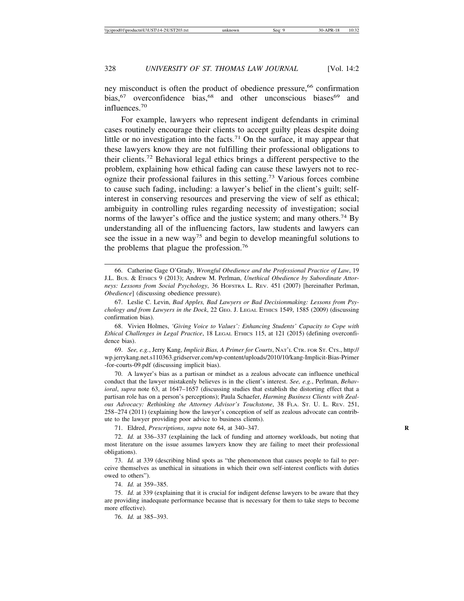ney misconduct is often the product of obedience pressure,<sup>66</sup> confirmation bias,<sup>67</sup> overconfidence bias,<sup>68</sup> and other unconscious biases<sup>69</sup> and influences.70

For example, lawyers who represent indigent defendants in criminal cases routinely encourage their clients to accept guilty pleas despite doing little or no investigation into the facts.<sup>71</sup> On the surface, it may appear that these lawyers know they are not fulfilling their professional obligations to their clients.72 Behavioral legal ethics brings a different perspective to the problem, explaining how ethical fading can cause these lawyers not to recognize their professional failures in this setting.73 Various forces combine to cause such fading, including: a lawyer's belief in the client's guilt; selfinterest in conserving resources and preserving the view of self as ethical; ambiguity in controlling rules regarding necessity of investigation; social norms of the lawyer's office and the justice system; and many others.<sup>74</sup> By understanding all of the influencing factors, law students and lawyers can see the issue in a new way<sup>75</sup> and begin to develop meaningful solutions to the problems that plague the profession.<sup>76</sup>

68. Vivien Holmes, *'Giving Voice to Values': Enhancing Students' Capacity to Cope with Ethical Challenges in Legal Practice*, 18 LEGAL ETHICS 115, at 121 (2015) (defining overconfidence bias).

69. *See, e.g.*, Jerry Kang, *Implicit Bias, A Primer for Courts*, NAT'L CTR. FOR ST. CTS., http:// wp.jerrykang.net.s110363.gridserver.com/wp-content/uploads/2010/10/kang-Implicit-Bias-Primer -for-courts-09.pdf (discussing implicit bias).

70. A lawyer's bias as a partisan or mindset as a zealous advocate can influence unethical conduct that the lawyer mistakenly believes is in the client's interest. *See, e.g.*, Perlman, *Behavioral*, *supra* note 63, at 1647–1657 (discussing studies that establish the distorting effect that a partisan role has on a person's perceptions); Paula Schaefer, *Harming Business Clients with Zealous Advocacy: Rethinking the Attorney Advisor's Touchstone*, 38 FLA. ST. U. L. REV. 251, 258–274 (2011) (explaining how the lawyer's conception of self as zealous advocate can contribute to the lawyer providing poor advice to business clients).

71. Eldred, *Prescriptions*, *supra* note 64, at 340–347. **R**

72. *Id.* at 336–337 (explaining the lack of funding and attorney workloads, but noting that most literature on the issue assumes lawyers know they are failing to meet their professional obligations).

73. *Id.* at 339 (describing blind spots as "the phenomenon that causes people to fail to perceive themselves as unethical in situations in which their own self-interest conflicts with duties owed to others").

74. *Id.* at 359–385.

75. *Id.* at 339 (explaining that it is crucial for indigent defense lawyers to be aware that they are providing inadequate performance because that is necessary for them to take steps to become more effective).

76. *Id.* at 385–393.

<sup>66.</sup> Catherine Gage O'Grady, *Wrongful Obedience and the Professional Practice of Law*, 19 J.L. BUS. & ETHICS 9 (2013); Andrew M. Perlman, *Unethical Obedience by Subordinate Attorneys: Lessons from Social Psychology*, 36 HOFSTRA L. REV. 451 (2007) [hereinafter Perlman, *Obedience*] (discussing obedience pressure).

<sup>67.</sup> Leslie C. Levin, *Bad Apples, Bad Lawyers or Bad Decisionmaking: Lessons from Psychology and from Lawyers in the Dock*, 22 GEO. J. LEGAL ETHICS 1549, 1585 (2009) (discussing confirmation bias).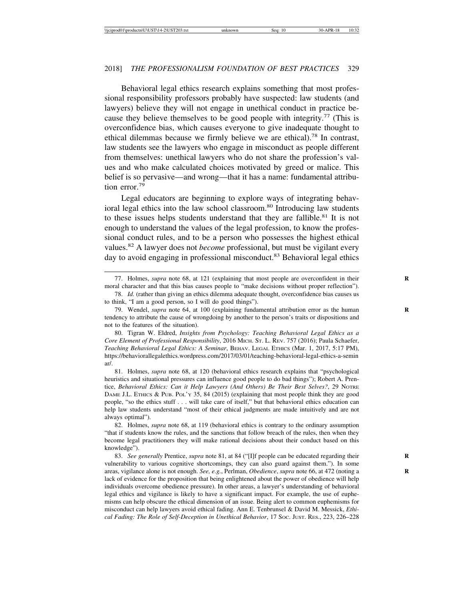Behavioral legal ethics research explains something that most professional responsibility professors probably have suspected: law students (and lawyers) believe they will not engage in unethical conduct in practice because they believe themselves to be good people with integrity.<sup>77</sup> (This is overconfidence bias, which causes everyone to give inadequate thought to ethical dilemmas because we firmly believe we are ethical).78 In contrast, law students see the lawyers who engage in misconduct as people different from themselves: unethical lawyers who do not share the profession's values and who make calculated choices motivated by greed or malice. This belief is so pervasive—and wrong—that it has a name: fundamental attribution error.<sup>79</sup>

Legal educators are beginning to explore ways of integrating behavioral legal ethics into the law school classroom.<sup>80</sup> Introducing law students to these issues helps students understand that they are fallible.<sup>81</sup> It is not enough to understand the values of the legal profession, to know the professional conduct rules, and to be a person who possesses the highest ethical values.82 A lawyer does not *become* professional, but must be vigilant every day to avoid engaging in professional misconduct.<sup>83</sup> Behavioral legal ethics

80. Tigran W. Eldred, *Insights from Psychology: Teaching Behavioral Legal Ethics as a Core Element of Professional Responsibility*, 2016 MICH. ST. L. REV. 757 (2016); Paula Schaefer, *Teaching Behavioral Legal Ethics: A Seminar*, BEHAV. LEGAL ETHICS (Mar. 1, 2017, 5:17 PM), https://behaviorallegalethics.wordpress.com/2017/03/01/teaching-behavioral-legal-ethics-a-semin ar/.

81. Holmes, *supra* note 68, at 120 (behavioral ethics research explains that "psychological heuristics and situational pressures can influence good people to do bad things"); Robert A. Prentice, *Behavioral Ethics: Can it Help Lawyers (And Others) Be Their Best Selves?*, 29 NOTRE DAME J.L. ETHICS & PUB. POL'Y 35, 84 (2015) (explaining that most people think they are good people, "so the ethics stuff . . . will take care of itself," but that behavioral ethics education can help law students understand "most of their ethical judgments are made intuitively and are not always optimal").

82. Holmes, *supra* note 68, at 119 (behavioral ethics is contrary to the ordinary assumption "that if students know the rules, and the sanctions that follow breach of the rules, then when they become legal practitioners they will make rational decisions about their conduct based on this knowledge").

83. *See generally* Prentice, *supra* note 81, at 84 ("[I]f people can be educated regarding their **R** vulnerability to various cognitive shortcomings, they can also guard against them."). In some areas, vigilance alone is not enough. *See, e.g.*, Perlman, *Obedience*, *supra* note 66, at 472 (noting a lack of evidence for the proposition that being enlightened about the power of obedience will help individuals overcome obedience pressure). In other areas, a lawyer's understanding of behavioral legal ethics and vigilance is likely to have a significant impact. For example, the use of euphemisms can help obscure the ethical dimension of an issue. Being alert to common euphemisms for misconduct can help lawyers avoid ethical fading. Ann E. Tenbrunsel & David M. Messick, *Ethical Fading: The Role of Self-Deception in Unethical Behavior*, 17 SOC. JUST. RES., 223, 226–228

<sup>77.</sup> Holmes, *supra* note 68, at 121 (explaining that most people are overconfident in their **R** moral character and that this bias causes people to "make decisions without proper reflection").

<sup>78.</sup> *Id.* (rather than giving an ethics dilemma adequate thought, overconfidence bias causes us to think, "I am a good person, so I will do good things").

<sup>79.</sup> Wendel, *supra* note 64, at 100 (explaining fundamental attribution error as the human **R** tendency to attribute the cause of wrongdoing by another to the person's traits or dispositions and not to the features of the situation).